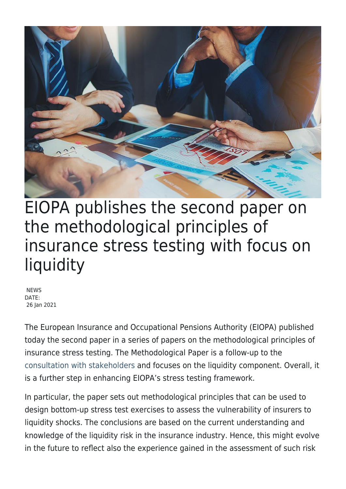

## EIOPA publishes the second paper on the methodological principles of insurance stress testing with focus on liquidity

**NEWS** DATE: 26 Jan 2021

The European Insurance and Occupational Pensions Authority (EIOPA) published today the second paper in a series of papers on the methodological principles of insurance stress testing. The Methodological Paper is a follow-up to the [consultation with stakeholders](https://www.eiopa.europa.eu/content/second-discussion-paper-methodological-principles-of-insurance-stress-testing_en) and focuses on the liquidity component. Overall, it is a further step in enhancing EIOPA's stress testing framework.

In particular, the paper sets out methodological principles that can be used to design bottom-up stress test exercises to assess the vulnerability of insurers to liquidity shocks. The conclusions are based on the current understanding and knowledge of the liquidity risk in the insurance industry. Hence, this might evolve in the future to reflect also the experience gained in the assessment of such risk